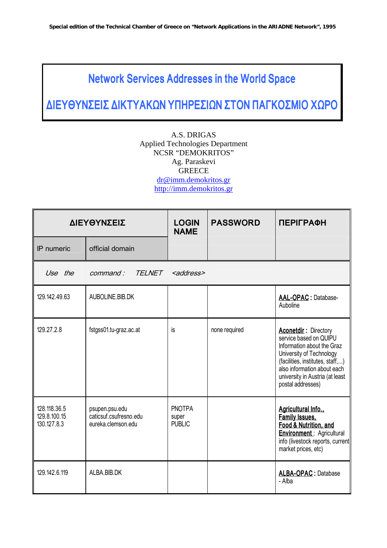## **Network Services Addresses in the World Space**

**ƒ…≈'»'Õ"≈…" ƒ… ''¡ ŸÕ '—«–≈"…ŸÕ "'œÕ —¡√ œ"Ã…œ ◊Ÿ–œ**

A.S. DRIGAS Applied Technologies Department NCSR "DEMOKRITOS" Ag. Paraskevi **GREECE** dr@imm.demokritos.gr http://imm.demokritos.gr

|                                             | ΔΙΕΥΘΥΝΣΕΙΣ                                                    | <b>LOGIN</b><br><b>NAME</b>             | <b>PASSWORD</b> | <b>ПЕРІГРАФН</b>                                                                                                                                                                                                                           |
|---------------------------------------------|----------------------------------------------------------------|-----------------------------------------|-----------------|--------------------------------------------------------------------------------------------------------------------------------------------------------------------------------------------------------------------------------------------|
| IP numeric                                  | official domain                                                |                                         |                 |                                                                                                                                                                                                                                            |
| Use the                                     | <b>TELNET</b><br>command:                                      | <address></address>                     |                 |                                                                                                                                                                                                                                            |
| 129.142.49.63                               | AUBOLINE.BIB.DK                                                |                                         |                 | AAL-OPAC : Database-<br>Auboline                                                                                                                                                                                                           |
| 129.27.2.8                                  | fstgss01.tu-graz.ac.at                                         | is                                      | none required   | <b>Aconetdir: Directory</b><br>service based on QUIPU<br>Information about the Graz<br>University of Technology<br>(facilities, institutes, staff,)<br>also information about each<br>university in Austria (at least<br>postal addresses) |
| 128.118.36.5<br>129.8.100.15<br>130.127.8.3 | psupen.psu.edu<br>caticsuf csufresno edu<br>eureka.clemson.edu | <b>PNOTPA</b><br>super<br><b>PUBLIC</b> |                 | Agricultural Info.,<br><b>Family Issues,</b><br>Food & Nutrition, and<br><b>Environment: Agricultural</b><br>info (livestock reports, current<br>market prices, etc)                                                                       |
| 129.142.6.119                               | ALBA.BIB.DK                                                    |                                         |                 | <b>ALBA-OPAC: Database</b><br>- Alba                                                                                                                                                                                                       |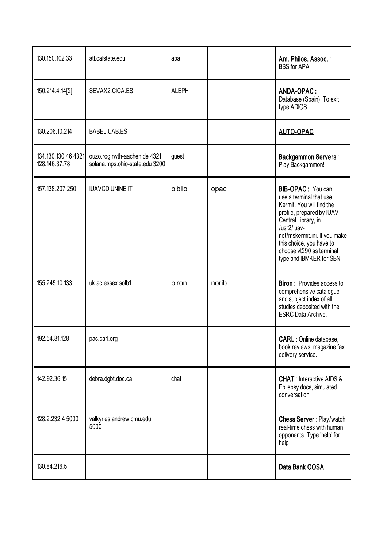| 130.150.102.33                       | atl.calstate.edu                                               | apa          |       | Am. Philos. Assoc.:<br><b>BBS</b> for APA                                                                                                                                                                                                                                |
|--------------------------------------|----------------------------------------------------------------|--------------|-------|--------------------------------------------------------------------------------------------------------------------------------------------------------------------------------------------------------------------------------------------------------------------------|
| 150.214.4.14[2]                      | SEVAX2.CICA.ES                                                 | <b>ALEPH</b> |       | ANDA-OPAC:<br>Database (Spain) To exit<br>type ADIOS                                                                                                                                                                                                                     |
| 130.206.10.214                       | BABEL.UAB.ES                                                   |              |       | <b>AUTO-OPAC</b>                                                                                                                                                                                                                                                         |
| 134.130.130.46 4321<br>128.146.37.78 | ouzo.rog.rwth-aachen.de 4321<br>solana.mps.ohio-state.edu 3200 | guest        |       | <b>Backgammon Servers:</b><br>Play Backgammon!                                                                                                                                                                                                                           |
| 157.138.207.250                      | <b>IUAVCD.UNINE.IT</b>                                         | biblio       | opac  | <b>BIB-OPAC:</b> You can<br>use a terminal that use<br>Kermit. You will find the<br>profile, prepared by IUAV<br>Central Library, in<br>/usr2/iuav-<br>net/mskermit.ini. If you make<br>this choice, you have to<br>choose vt290 as terminal<br>type and IBMKER for SBN. |
| 155.245.10.133                       | uk.ac.essex.solb1                                              | biron        | norib | <b>Biron:</b> Provides access to<br>comprehensive catalogue<br>and subject index of all<br>studies deposited with the<br><b>ESRC</b> Data Archive.                                                                                                                       |
| 192.54.81.128                        | pac.carl.org                                                   |              |       | <b>CARL</b> : Online database,<br>book reviews, magazine fax<br>delivery service.                                                                                                                                                                                        |
| 142.92.36.15                         | debra.dgbt.doc.ca                                              | chat         |       | <b>CHAT: Interactive AIDS &amp;</b><br>Epilepsy docs, simulated<br>conversation                                                                                                                                                                                          |
| 128.2.232.4 5000                     | valkyries.andrew.cmu.edu<br>5000                               |              |       | <b>Chess Server: Play/watch</b><br>real-time chess with human<br>opponents. Type 'help' for<br>help                                                                                                                                                                      |
| 130.84.216.5                         |                                                                |              |       | Data Bank OOSA                                                                                                                                                                                                                                                           |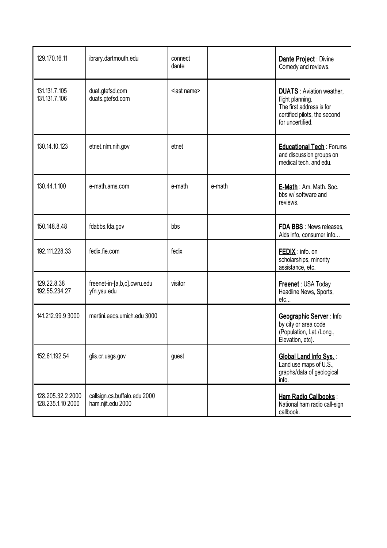| 129.170.16.11                          | ibrary.dartmouth.edu                              | connect<br>dante      |        | Dante Project : Divine<br>Comedy and reviews.                                                                                        |
|----------------------------------------|---------------------------------------------------|-----------------------|--------|--------------------------------------------------------------------------------------------------------------------------------------|
| 131.131.7.105<br>131.131.7.106         | duat.gtefsd.com<br>duats.gtefsd.com               | <last name=""></last> |        | <b>DUATS</b> : Aviation weather,<br>flight planning.<br>The first address is for<br>certified pilots, the second<br>for uncertified. |
| 130.14.10.123                          | etnet.nlm.nih.gov                                 | etnet                 |        | <b>Educational Tech: Forums</b><br>and discussion groups on<br>medical tech, and edu.                                                |
| 130.44.1.100                           | e-math.ams.com                                    | e-math                | e-math | E-Math: Am. Math. Soc.<br>bbs w/ software and<br>reviews.                                                                            |
| 150.148.8.48                           | fdabbs.fda.gov                                    | bbs                   |        | <b>FDA BBS</b> : News releases,<br>Aids info, consumer info                                                                          |
| 192.111.228.33                         | fedix.fie.com                                     | fedix                 |        | <b>FEDIX</b> : info. on<br>scholarships, minority<br>assistance, etc.                                                                |
| 129.22.8.38<br>192.55.234.27           | freenet-in-[a,b,c].cwru.edu<br>yfn.ysu.edu        | visitor               |        | Freenet: USA Today<br>Headline News, Sports,<br>etc                                                                                  |
| 141.212.99.9 3000                      | martini.eecs.umich.edu 3000                       |                       |        | Geographic Server: Info<br>by city or area code<br>(Population, Lat./Long.,<br>Elevation, etc).                                      |
| 152.61.192.54                          | glis.cr.usgs.gov                                  | guest                 |        | Global Land Info Sys. :<br>Land use maps of U.S.,<br>graphs/data of geological<br>info.                                              |
| 128.205.32.2 2000<br>128.235.1.10 2000 | callsign.cs.buffalo.edu 2000<br>ham.njit.edu 2000 |                       |        | Ham Radio Callbooks :<br>National ham radio call-sign<br>callbook.                                                                   |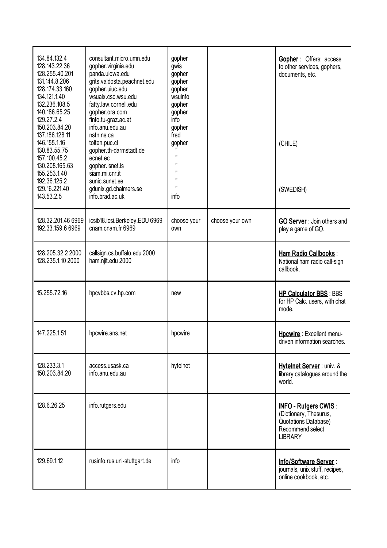| 134.84.132.4<br>128.143.22.36<br>128.255.40.201<br>131.144.8.206<br>128.174.33.160<br>134.121.1.40<br>132.236.108.5<br>140.186.65.25<br>129.27.2.4<br>150.203.84.20<br>137.186.128.11<br>146.155.1.16<br>130.83.55.75<br>157.100.45.2<br>130.208.165.63<br>155.253.1.40<br>192.36.125.2<br>129.16.221.40<br>143.53.2.5 | consultant.micro.umn.edu<br>gopher.virginia.edu<br>panda.uiowa.edu<br>grits.valdosta.peachnet.edu<br>gopher.uiuc.edu<br>wsuaix.csc.wsu.edu<br>fatty.law.cornell.edu<br>gopher.ora.com<br>finfo.tu-graz.ac.at<br>info.anu.edu.au<br>nstn.ns.ca<br>tolten.puc.cl<br>gopher.th-darmstadt.de<br>ecnet.ec<br>gopher.isnet.is<br>siam.mi.cnr.it<br>sunic.sunet.se<br>gdunix.gd.chalmers.se<br>info.brad.ac.uk | gopher<br>gwis<br>gopher<br>gopher<br>gopher<br>wsuinfo<br>gopher<br>gopher<br>info<br>gopher<br>fred<br>gopher<br>$\mathbf{H}$<br>$\mathbf{H}$<br>п<br>п<br>$\mathbf{H}$<br>info |                 | <b>Gopher: Offers: access</b><br>to other services, gophers,<br>documents, etc.<br>(CHILE)<br>(SWEDISH)      |
|------------------------------------------------------------------------------------------------------------------------------------------------------------------------------------------------------------------------------------------------------------------------------------------------------------------------|---------------------------------------------------------------------------------------------------------------------------------------------------------------------------------------------------------------------------------------------------------------------------------------------------------------------------------------------------------------------------------------------------------|-----------------------------------------------------------------------------------------------------------------------------------------------------------------------------------|-----------------|--------------------------------------------------------------------------------------------------------------|
| 128.32.201.46 6969<br>192.33.159.6 6969                                                                                                                                                                                                                                                                                | icsib18.icsi.Berkeley.EDU 6969<br>cnam.cnam.fr 6969                                                                                                                                                                                                                                                                                                                                                     | choose your<br>own                                                                                                                                                                | choose your own | <b>GO Server</b> : Join others and<br>play a game of GO.                                                     |
| 128.205.32.2 2000<br>128.235.1.10 2000                                                                                                                                                                                                                                                                                 | callsign.cs.buffalo.edu 2000<br>ham.njit.edu 2000                                                                                                                                                                                                                                                                                                                                                       |                                                                                                                                                                                   |                 | Ham Radio Callbooks :<br>National ham radio call-sign<br>callbook.                                           |
| 15.255.72.16                                                                                                                                                                                                                                                                                                           | hpcvbbs.cv.hp.com                                                                                                                                                                                                                                                                                                                                                                                       | new                                                                                                                                                                               |                 | <b>HP Calculator BBS: BBS</b><br>for HP Calc. users, with chat<br>mode.                                      |
| 147.225.1.51                                                                                                                                                                                                                                                                                                           | hpcwire.ans.net                                                                                                                                                                                                                                                                                                                                                                                         | hpcwire                                                                                                                                                                           |                 | Hpcwire: Excellent menu-<br>driven information searches.                                                     |
| 128.233.3.1<br>150.203.84.20                                                                                                                                                                                                                                                                                           | access.usask.ca<br>info.anu.edu.au                                                                                                                                                                                                                                                                                                                                                                      | hytelnet                                                                                                                                                                          |                 | Hytelnet Server: univ. &<br>library catalogues around the<br>world.                                          |
| 128.6.26.25                                                                                                                                                                                                                                                                                                            | info.rutgers.edu                                                                                                                                                                                                                                                                                                                                                                                        |                                                                                                                                                                                   |                 | INFO - Rutgers CWIS:<br>(Dictionary, Thesurus,<br>Quotations Database)<br>Recommend select<br><b>LIBRARY</b> |
| 129.69.1.12                                                                                                                                                                                                                                                                                                            | rusinfo.rus.uni-stuttgart.de                                                                                                                                                                                                                                                                                                                                                                            | info                                                                                                                                                                              |                 | Info/Software Server:<br>journals, unix stuff, recipes,<br>online cookbook, etc.                             |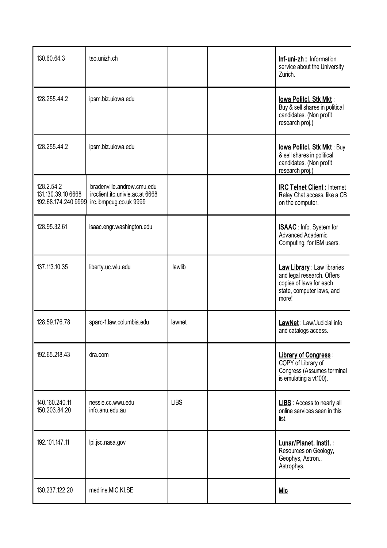| 130.60.64.3                                             | tso.unizh.ch                                                                            |             | Inf-uni-zh: Information<br>service about the University<br>Zurich.                                                         |
|---------------------------------------------------------|-----------------------------------------------------------------------------------------|-------------|----------------------------------------------------------------------------------------------------------------------------|
| 128.255.44.2                                            | ipsm.biz.uiowa.edu                                                                      |             | lowa Politcl. Stk Mkt :<br>Buy & sell shares in political<br>candidates. (Non profit<br>research proj.)                    |
| 128.255.44.2                                            | ipsm.biz.uiowa.edu                                                                      |             | lowa Politcl. Stk Mkt : Buy<br>& sell shares in political<br>candidates. (Non profit<br>research proj.)                    |
| 128.2.54.2<br>131.130.39.10 6668<br>192.68.174.240 9999 | bradenville.andrew.cmu.edu<br>ircclient.itc.univie.ac.at 6668<br>irc.ibmpcug.co.uk 9999 |             | <b>IRC Telnet Client: Internet</b><br>Relay Chat access, like a CB<br>on the computer.                                     |
| 128.95.32.61                                            | isaac.engr.washington.edu                                                               |             | <b>ISAAC</b> : Info. System for<br>Advanced Academic<br>Computing, for IBM users.                                          |
| 137.113.10.35                                           | liberty.uc.wlu.edu                                                                      | lawlib      | Law Library : Law libraries<br>and legal research. Offers<br>copies of laws for each<br>state, computer laws, and<br>more! |
| 128.59.176.78                                           | sparc-1.law.columbia.edu                                                                | lawnet      | LawNet: Law/Judicial info<br>and catalogs access.                                                                          |
| 192.65.218.43                                           | dra.com                                                                                 |             | <b>Library of Congress:</b><br>COPY of Library of<br>Congress (Assumes terminal<br>is emulating a vt100).                  |
| 140.160.240.11<br>150.203.84.20                         | nessie.cc.wwu.edu<br>info.anu.edu.au                                                    | <b>LIBS</b> | <b>LIBS</b> : Access to nearly all<br>online services seen in this<br>list.                                                |
| 192.101.147.11                                          | lpi.jsc.nasa.gov                                                                        |             | Lunar/Planet. Instit. :<br>Resources on Geology,<br>Geophys, Astron.,<br>Astrophys.                                        |
| 130.237.122.20                                          | medline.MIC.KI.SE                                                                       |             | <b>Mic</b>                                                                                                                 |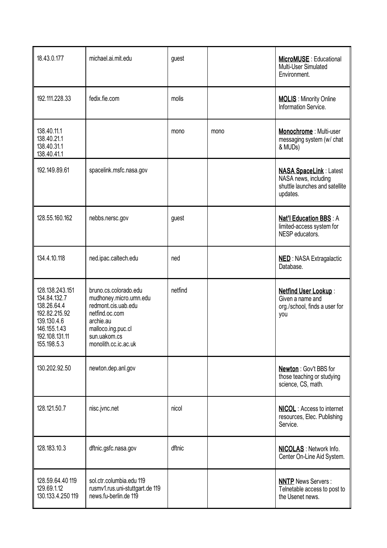| 18.43.0.177                                                                                                                     | michael.ai.mit.edu                                                                                                                                                  | guest   |      | <b>MicroMUSE: Educational</b><br>Multi-User Simulated<br>Environment.                               |
|---------------------------------------------------------------------------------------------------------------------------------|---------------------------------------------------------------------------------------------------------------------------------------------------------------------|---------|------|-----------------------------------------------------------------------------------------------------|
| 192.111.228.33                                                                                                                  | fedix.fie.com                                                                                                                                                       | molis   |      | <b>MOLIS</b> : Minority Online<br>Information Service.                                              |
| 138.40.11.1<br>138.40.21.1<br>138.40.31.1<br>138.40.41.1                                                                        |                                                                                                                                                                     | mono    | mono | Monochrome : Multi-user<br>messaging system (w/ chat<br>& MUDs)                                     |
| 192.149.89.61                                                                                                                   | spacelink.msfc.nasa.gov                                                                                                                                             |         |      | <b>NASA SpaceLink: Latest</b><br>NASA news, including<br>shuttle launches and satellite<br>updates. |
| 128.55.160.162                                                                                                                  | nebbs.nersc.gov                                                                                                                                                     | guest   |      | <b>Nat'l Education BBS: A</b><br>limited-access system for<br>NESP educators.                       |
| 134.4.10.118                                                                                                                    | ned.ipac.caltech.edu                                                                                                                                                | ned     |      | <b>NED: NASA Extragalactic</b><br>Database.                                                         |
| 128.138.243.151<br>134.84.132.7<br>138.26.64.4<br>192.82.215.92<br>139.130.4.6<br>146.155.1.43<br>192.108.131.11<br>155.198.5.3 | bruno.cs.colorado.edu<br>mudhoney.micro.umn.edu<br>redmont.cis.uab.edu<br>netfind.oc.com<br>archie.au<br>malloco.ing.puc.cl<br>sun.uakom.cs<br>monolith.cc.ic.ac.uk | netfind |      | <b>Netfind User Lookup:</b><br>Given a name and<br>org./school, finds a user for<br>you             |
| 130.202.92.50                                                                                                                   | newton.dep.anl.gov                                                                                                                                                  |         |      | Newton: Gov't BBS for<br>those teaching or studying<br>science, CS, math.                           |
| 128.121.50.7                                                                                                                    | nisc.jvnc.net                                                                                                                                                       | nicol   |      | <b>NICOL</b> : Access to internet<br>resources, Elec. Publishing<br>Service.                        |
| 128.183.10.3                                                                                                                    | dftnic.gsfc.nasa.gov                                                                                                                                                | dftnic  |      | <b>NICOLAS</b> : Network Info.<br>Center On-Line Aid System.                                        |
| 128.59.64.40 119<br>129.69.1.12<br>130.133.4.250 119                                                                            | sol.ctr.columbia.edu 119<br>rusmv1.rus.uni-stuttgart.de 119<br>news.fu-berlin.de 119                                                                                |         |      | <b>NNTP</b> News Servers:<br>Telnetable access to post to<br>the Usenet news.                       |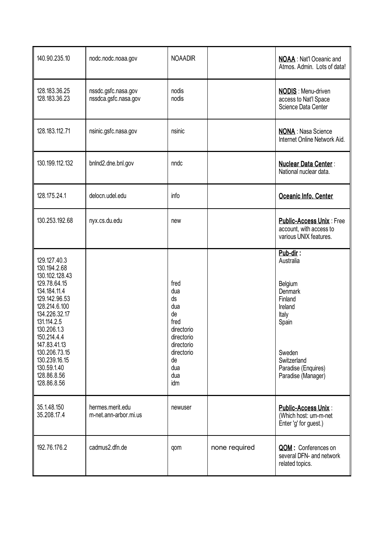| 140.90.235.10                                                                                                                                                                                                                                                                 | nodc.nodc.noaa.gov                          | <b>NOAADIR</b>                                                                                                            |               | <b>NOAA</b> : Nat'l Oceanic and<br>Atmos, Admin. Lots of data!                                                                                                   |
|-------------------------------------------------------------------------------------------------------------------------------------------------------------------------------------------------------------------------------------------------------------------------------|---------------------------------------------|---------------------------------------------------------------------------------------------------------------------------|---------------|------------------------------------------------------------------------------------------------------------------------------------------------------------------|
| 128.183.36.25<br>128.183.36.23                                                                                                                                                                                                                                                | nssdc.gsfc.nasa.gov<br>nssdca.gsfc.nasa.gov | nodis<br>nodis                                                                                                            |               | <b>NODIS:</b> Menu-driven<br>access to Nat'l Space<br>Science Data Center                                                                                        |
| 128.183.112.71                                                                                                                                                                                                                                                                | nsinic.gsfc.nasa.gov                        | nsinic                                                                                                                    |               | <b>NONA</b> : Nasa Science<br>Internet Online Network Aid.                                                                                                       |
| 130.199.112.132                                                                                                                                                                                                                                                               | bnlnd2.dne.bnl.gov                          | nndc                                                                                                                      |               | <b>Nuclear Data Center:</b><br>National nuclear data.                                                                                                            |
| 128.175.24.1                                                                                                                                                                                                                                                                  | delocn.udel.edu                             | info                                                                                                                      |               | Oceanic Info. Center                                                                                                                                             |
| 130.253.192.68                                                                                                                                                                                                                                                                | nyx.cs.du.edu                               | new                                                                                                                       |               | <b>Public-Access Unix: Free</b><br>account, with access to<br>various UNIX features.                                                                             |
| 129.127.40.3<br>130.194.2.68<br>130.102.128.43<br>129.78.64.15<br>134.184.11.4<br>129.142.96.53<br>128.214.6.100<br>134.226.32.17<br>131.114.2.5<br>130.206.1.3<br>150.214.4.4<br>147.83.41.13<br>130.206.73.15<br>130.239.16.15<br>130.59.1.40<br>128.86.8.56<br>128.86.8.56 |                                             | fred<br>dua<br>ds<br>dua<br>de<br>fred<br>directorio<br>directorio<br>directorio<br>directorio<br>de<br>dua<br>dua<br>idm |               | Pub-dir:<br>Australia<br>Belgium<br><b>Denmark</b><br>Finland<br>Ireland<br>Italy<br>Spain<br>Sweden<br>Switzerland<br>Paradise (Enquires)<br>Paradise (Manager) |
| 35.1.48.150<br>35.208.17.4                                                                                                                                                                                                                                                    | hermes.merit.edu<br>m-net.ann-arbor.mi.us   | newuser                                                                                                                   |               | <b>Public-Access Unix:</b><br>(Which host: um-m-net<br>Enter 'g' for guest.)                                                                                     |
| 192.76.176.2                                                                                                                                                                                                                                                                  | cadmus2.dfn.de                              | qom                                                                                                                       | none required | QOM : Conferences on<br>several DFN- and network<br>related topics.                                                                                              |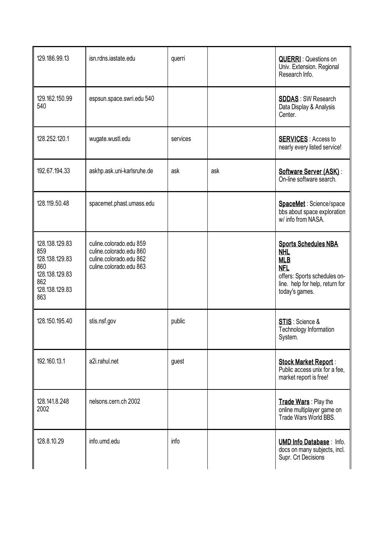| 129.186.99.13                                                                                    | isn.rdns.iastate.edu                                                                                     | querri   |     | <b>QUERRI</b> : Questions on<br>Univ. Extension. Regional<br>Research Info.                                                                                |
|--------------------------------------------------------------------------------------------------|----------------------------------------------------------------------------------------------------------|----------|-----|------------------------------------------------------------------------------------------------------------------------------------------------------------|
| 129.162.150.99<br>540                                                                            | espsun.space.swri.edu 540                                                                                |          |     | <b>SDDAS: SW Research</b><br>Data Display & Analysis<br>Center.                                                                                            |
| 128.252.120.1                                                                                    | wugate.wustl.edu                                                                                         | services |     | <b>SERVICES:</b> Access to<br>nearly every listed service!                                                                                                 |
| 192.67.194.33                                                                                    | askhp.ask.uni-karlsruhe.de                                                                               | ask      | ask | Software Server (ASK):<br>On-line software search.                                                                                                         |
| 128.119.50.48                                                                                    | spacemet.phast.umass.edu                                                                                 |          |     | SpaceMet: Science/space<br>bbs about space exploration<br>w/ info from NASA.                                                                               |
| 128.138.129.83<br>859<br>128.138.129.83<br>860<br>128.138.129.83<br>862<br>128.138.129.83<br>863 | culine.colorado.edu 859<br>culine.colorado.edu 860<br>culine.colorado.edu 862<br>culine.colorado.edu 863 |          |     | <b>Sports Schedules NBA</b><br><b>NHL</b><br><b>MLB</b><br><b>NFL</b><br>offers: Sports schedules on-<br>line. help for help, return for<br>today's games. |
| 128.150.195.40                                                                                   | stis.nsf.gov                                                                                             | public   |     | STIS: Science &<br>Technology Information<br>System.                                                                                                       |
| 192.160.13.1                                                                                     | a2i.rahul.net                                                                                            | guest    |     | <b>Stock Market Report:</b><br>Public access unix for a fee,<br>market report is free!                                                                     |
| 128.141.8.248<br>2002                                                                            | nelsons.cern.ch 2002                                                                                     |          |     | Trade Wars: Play the<br>online multiplayer game on<br>Trade Wars World BBS.                                                                                |
| 128.8.10.29                                                                                      | info.umd.edu                                                                                             | info     |     | <b>UMD Info Database: Info.</b><br>docs on many subjects, incl.<br>Supr. Crt Decisions                                                                     |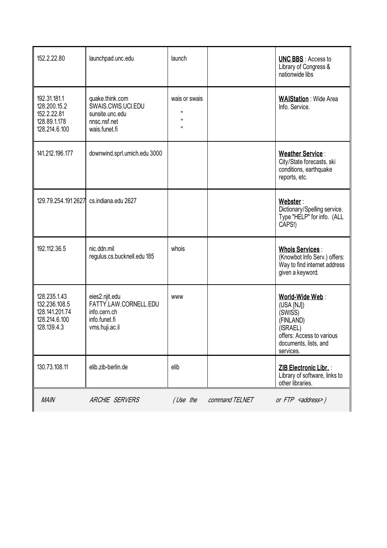| 152.2.22.80                                                                     | launchpad.unc.edu                                                                          | launch                                    |                | <b>UNC BBS: Access to</b><br>Library of Congress &<br>nationwide libs                                                                |
|---------------------------------------------------------------------------------|--------------------------------------------------------------------------------------------|-------------------------------------------|----------------|--------------------------------------------------------------------------------------------------------------------------------------|
| 192.31.181.1<br>128.200.15.2<br>152.2.22.81<br>128.89.1.178<br>128.214.6.100    | quake.think.com<br>SWAIS.CWIS.UCI.EDU<br>sunsite.unc.edu<br>nnsc.nsf.net<br>wais.funet.fi  | wais or swais<br>п<br>$\blacksquare$<br>п |                | <b>WAIStation: Wide Area</b><br>Info. Service.                                                                                       |
| 141.212.196.177                                                                 | downwind.sprl.umich.edu 3000                                                               |                                           |                | <b>Weather Service:</b><br>City/State forecasts, ski<br>conditions, earthquake<br>reports, etc.                                      |
| 129.79.254.191 2627                                                             | cs.indiana.edu 2627                                                                        |                                           |                | Webster:<br>Dictionary/Spelling service.<br>Type "HELP" for info. (ALL<br>CAPS!)                                                     |
| 192.112.36.5                                                                    | nic.ddn.mil<br>regulus.cs.bucknell.edu 185                                                 | whois                                     |                | <b>Whois Services:</b><br>(Knowbot Info Serv.) offers:<br>Way to find internet address<br>given a keyword.                           |
| 128.235.1.43<br>132.236.108.5<br>128.141.201.74<br>128.214.6.100<br>128.139.4.3 | eies2.njit.edu<br>FATTY.LAW.CORNELL.EDU<br>info.cern.ch<br>info.funet.fi<br>vms.huji.ac.il | <b>WWW</b>                                |                | World-Wide Web:<br>(USA [NJ])<br>(SWISS)<br>(FINLAND)<br>(ISRAEL)<br>offers: Access to various<br>documents, lists, and<br>services. |
| 130.73.108.11                                                                   | elib.zib-berlin.de                                                                         | elib                                      |                | ZIB Electronic Libr.<br>Library of software, links to<br>other libraries.                                                            |
| <b>MAIN</b>                                                                     | <b>ARCHIE SERVERS</b>                                                                      | (Use the                                  | command TELNET | or FTP <address>)</address>                                                                                                          |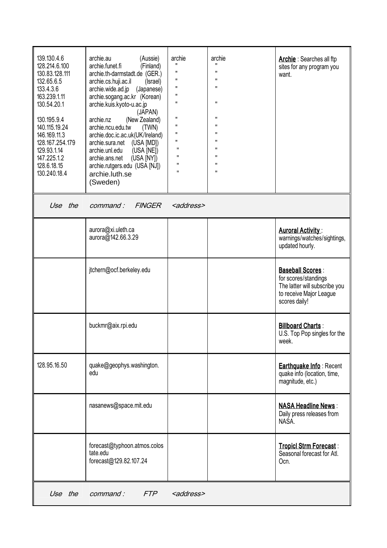| 139.130.4.6<br>128.214.6.100<br>130.83.128.111<br>132.65.6.5<br>133.4.3.6<br>163.239.1.11<br>130.54.20.1<br>130.195.9.4<br>140.115.19.24<br>146.169.11.3<br>128.167.254.179<br>129.93.1.14<br>147.225.1.2<br>128.6.18.15<br>130.240.18.4 | archie.au<br>(Aussie)<br>archie.funet.fi<br>(Finland)<br>archie.th-darmstadt.de (GER.)<br>archie.cs.huji.ac.il<br>(Israel)<br>archie.wide.ad.jp<br>(Japanese)<br>archie.sogang.ac.kr (Korean)<br>archie.kuis.kyoto-u.ac.jp<br>(JAPAN)<br>archie.nz<br>(New Zealand)<br>archie.ncu.edu.tw<br>(TWN)<br>archie.doc.ic.ac.uk(UK/Ireland)<br>archie.sura.net (USA [MD])<br>archie.unl.edu<br>(USA [NE])<br>archie.ans.net<br>$(USA$ $[NY])$<br>archie.rutgers.edu (USA [NJ])<br>archie.luth.se<br>(Sweden) | archie<br>п<br>п<br>$\mathbf{H}$<br>$\mathbf{H}$<br>п<br>п<br>$\mathbf{H}$<br>$\mathbf{H}$<br>$\mathbf{H}$<br>п<br>п<br>п<br>π | archie<br>π<br>π<br>$\mathbf{H}$<br>$\mathbf{H}$<br>$\mathbf{H}$<br>$\mathbf{H}$<br>п<br>$\mathbf{H}$<br>$\mathbf{H}$<br>$\mathbf{H}$<br>$\mathbf{H}$<br>π<br>π | <b>Archie</b> : Searches all ftp<br>sites for any program you<br>want.                                                       |
|------------------------------------------------------------------------------------------------------------------------------------------------------------------------------------------------------------------------------------------|-------------------------------------------------------------------------------------------------------------------------------------------------------------------------------------------------------------------------------------------------------------------------------------------------------------------------------------------------------------------------------------------------------------------------------------------------------------------------------------------------------|--------------------------------------------------------------------------------------------------------------------------------|-----------------------------------------------------------------------------------------------------------------------------------------------------------------|------------------------------------------------------------------------------------------------------------------------------|
| the<br>Use                                                                                                                                                                                                                               | <b>FINGER</b><br>command:                                                                                                                                                                                                                                                                                                                                                                                                                                                                             | <address></address>                                                                                                            |                                                                                                                                                                 |                                                                                                                              |
|                                                                                                                                                                                                                                          | aurora@xi.uleth.ca<br>aurora@142.66.3.29                                                                                                                                                                                                                                                                                                                                                                                                                                                              |                                                                                                                                |                                                                                                                                                                 | <b>Auroral Activity:</b><br>warnings/watches/sightings,<br>updated hourly.                                                   |
|                                                                                                                                                                                                                                          | jtchern@ocf.berkeley.edu                                                                                                                                                                                                                                                                                                                                                                                                                                                                              |                                                                                                                                |                                                                                                                                                                 | <b>Baseball Scores:</b><br>for scores/standings<br>The latter will subscribe you<br>to receive Major League<br>scores daily! |
|                                                                                                                                                                                                                                          | buckmr@aix.rpi.edu                                                                                                                                                                                                                                                                                                                                                                                                                                                                                    |                                                                                                                                |                                                                                                                                                                 | <b>Billboard Charts:</b><br>U.S. Top Pop singles for the<br>week.                                                            |
| 128.95.16.50                                                                                                                                                                                                                             | quake@geophys.washington.<br>edu                                                                                                                                                                                                                                                                                                                                                                                                                                                                      |                                                                                                                                |                                                                                                                                                                 | <b>Earthquake Info: Recent</b><br>quake info (location, time,<br>magnitude, etc.)                                            |
|                                                                                                                                                                                                                                          | nasanews@space.mit.edu                                                                                                                                                                                                                                                                                                                                                                                                                                                                                |                                                                                                                                |                                                                                                                                                                 | <b>NASA Headline News:</b><br>Daily press releases from<br>NASA.                                                             |
|                                                                                                                                                                                                                                          | forecast@typhoon.atmos.colos<br>tate.edu<br>forecast@129.82.107.24                                                                                                                                                                                                                                                                                                                                                                                                                                    |                                                                                                                                |                                                                                                                                                                 | <b>Tropicl Strm Forecast:</b><br>Seasonal forecast for Atl.<br>Ocn.                                                          |
| Use the                                                                                                                                                                                                                                  | <b>FTP</b><br>command:                                                                                                                                                                                                                                                                                                                                                                                                                                                                                | <address></address>                                                                                                            |                                                                                                                                                                 |                                                                                                                              |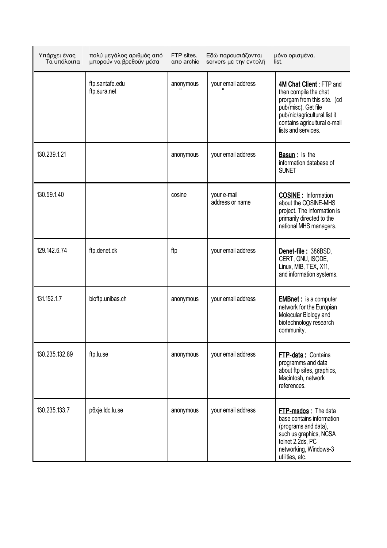| Υπάρχει ένας<br>Τα υπόλοιπα | πολύ μεγάλος αριθμός από<br>μπορούν να βρεθούν μέσα | FTP sites.<br>απο archie | Εδώ παρουσιάζονται<br>servers με την εντολή | μόνο ορισμένα.<br>list.                                                                                                                                                                       |
|-----------------------------|-----------------------------------------------------|--------------------------|---------------------------------------------|-----------------------------------------------------------------------------------------------------------------------------------------------------------------------------------------------|
|                             | ftp.santafe.edu<br>ftp.sura.net                     | anonymous                | your email address                          | 4M Chat Client: FTP and<br>then compile the chat<br>prorgam from this site. (cd<br>pub/misc). Get file<br>pub/nic/agricultural.list it<br>contains agricultural e-mail<br>lists and services. |
| 130.239.1.21                |                                                     | anonymous                | your email address                          | <b>Basun</b> : Is the<br>information database of<br><b>SUNET</b>                                                                                                                              |
| 130.59.1.40                 |                                                     | cosine                   | your e-mail<br>address or name              | <b>COSINE</b> : Information<br>about the COSINE-MHS<br>project. The information is<br>primarily directed to the<br>national MHS managers.                                                     |
| 129.142.6.74                | ftp.denet.dk                                        | ftp                      | your email address                          | Denet-file: 386BSD,<br>CERT, GNU, ISODE,<br>Linux, MIB, TEX, X11,<br>and information systems.                                                                                                 |
| 131.152.1.7                 | bioftp.unibas.ch                                    | anonymous                | your email address                          | <b>EMBnet:</b> is a computer<br>network for the Europian<br>Molecular Biology and<br>biotechnology research<br>community.                                                                     |
| 130.235.132.89              | ftp.lu.se                                           | anonymous                | your email address                          | <b>FTP-data: Contains</b><br>programms and data<br>about ftp sites, graphics,<br>Macintosh, network<br>references.                                                                            |
| 130.235.133.7               | p6xje.ldc.lu.se                                     | anonymous                | your email address                          | FTP-msdos: The data<br>base contains information<br>(programs and data),<br>such us graphics, NCSA<br>telnet 2.2ds, PC<br>networking, Windows-3<br>utilities, etc.                            |

 $\dot{a}$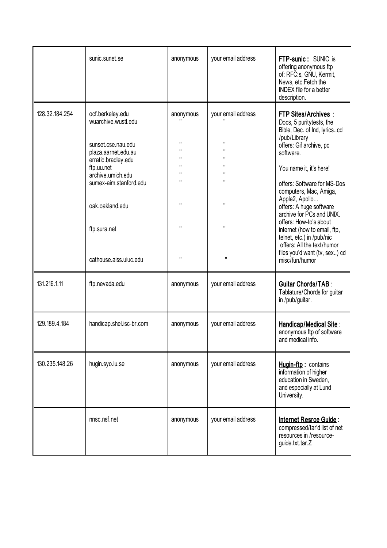|                | sunic.sunet.se                                                | anonymous                                    | your email address       | <b>FTP-sunic:</b> SUNIC is<br>offering anonymous ftp<br>of: RFC:s, GNU, Kermit,<br>News, etc. Fetch the<br><b>INDEX</b> file for a better<br>description. |
|----------------|---------------------------------------------------------------|----------------------------------------------|--------------------------|-----------------------------------------------------------------------------------------------------------------------------------------------------------|
| 128.32.184.254 | ocf.berkeley.edu<br>wuarchive.wustl.edu<br>sunset.cse.nau.edu | anonymous<br>$\mathbf{H}$                    | your email address<br>п  | <b>FTP Sites/Archives:</b><br>Docs, 5 puritytests, the<br>Bible, Dec. of Ind, lyricscd<br>/pub/Library<br>offers: Gif archive, pc                         |
|                | plaza.aarnet.edu.au<br>erratic.bradley.edu                    | $\mathbf{H}$<br>$\mathbf{H}$<br>$\mathbf{H}$ | п<br>п<br>$\blacksquare$ | software.                                                                                                                                                 |
|                | ftp.uu.net<br>archive.umich.edu                               | $\mathbf{H}$                                 | $\blacksquare$           | You name it, it's here!                                                                                                                                   |
|                | sumex-aim.stanford.edu                                        | $\mathbf{H}$                                 | $\mathbf{H}$<br>П        | offers: Software for MS-Dos<br>computers, Mac, Amiga,<br>Apple2, Apollo                                                                                   |
|                | oak.oakland.edu                                               | $\mathbf{H}$                                 |                          | offers: A huge software<br>archive for PCs and UNIX.<br>offers: How-to's about                                                                            |
|                | ftp.sura.net                                                  | $\mathbf{H}$                                 | П                        | internet (how to email, ftp,<br>telnet, etc.) in /pub/nic<br>offers: All the text/humor                                                                   |
|                | cathouse.aiss.uiuc.edu                                        | $\mathbf{H}$                                 | $\pmb{\mathsf{H}}$       | files you'd want (tv, sex) cd<br>misc/fun/humor                                                                                                           |
| 131.216.1.11   | ftp.nevada.edu                                                | anonymous                                    | your email address       | <b>Guitar Chords/TAB:</b><br>Tablature/Chords for guitar<br>in /pub/guitar.                                                                               |
| 129.189.4.184  | handicap.shel.isc-br.com                                      | anonymous                                    | your email address       | Handicap/Medical Site:<br>anonymous ftp of software<br>and medical info.                                                                                  |
| 130.235.148.26 | hugin.syo.lu.se                                               | anonymous                                    | your email address       | Hugin-ftp: contains<br>information of higher<br>education in Sweden,<br>and especially at Lund<br>University.                                             |
|                | nnsc.nsf.net                                                  | anonymous                                    | your email address       | Internet Resrce Guide:<br>compressed/tar'd list of net<br>resources in /resource-<br>guide.txt.tar.Z                                                      |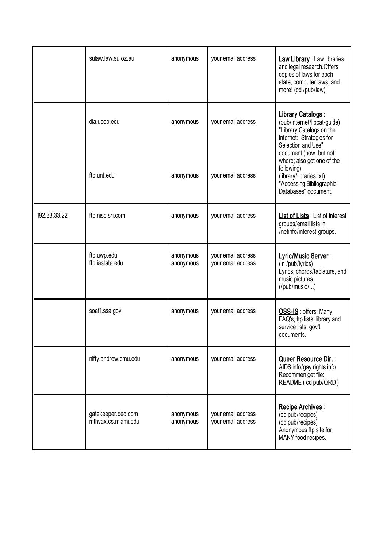|              | sulaw.law.su.oz.au                        | anonymous              | your email address                       | <b>Law Library: Law libraries</b><br>and legal research. Offers<br>copies of laws for each<br>state, computer laws, and<br>more! (cd /pub/law)                                         |
|--------------|-------------------------------------------|------------------------|------------------------------------------|----------------------------------------------------------------------------------------------------------------------------------------------------------------------------------------|
|              | dla.ucop.edu                              | anonymous              | your email address                       | Library Catalogs:<br>(pub/internet/libcat-guide)<br>"Library Catalogs on the<br>Internet: Strategies for<br>Selection and Use"<br>document (how, but not<br>where; also get one of the |
|              | ftp.unt.edu                               | anonymous              | your email address                       | following).<br>(library/libraries.txt)<br>"Accessing Bibliographic<br>Databases" document.                                                                                             |
| 192.33.33.22 | ftp.nisc.sri.com                          | anonymous              | your email address                       | <b>List of Lists: List of interest</b><br>groups/email lists in<br>/netinfo/interest-groups.                                                                                           |
|              | ftp.uwp.edu<br>ftp.iastate.edu            | anonymous<br>anonymous | your email address<br>your email address | Lyric/Music Server:<br>(in /pub/lyrics)<br>Lyrics, chords/tablature, and<br>music pictures.<br>$($ /pub/music $/$ $)$                                                                  |
|              | soaf1.ssa.gov                             | anonymous              | your email address                       | OSS-IS: offers: Many<br>FAQ's, ftp lists, library and<br>service lists, gov't<br>documents.                                                                                            |
|              | nifty.andrew.cmu.edu                      | anonymous              | your email address                       | Queer Resource Dir.<br>AIDS info/gay rights info.<br>Recommen get file:<br>README (cd pub/QRD)                                                                                         |
|              | gatekeeper.dec.com<br>mthvax.cs.miami.edu | anonymous<br>anonymous | your email address<br>your email address | Recipe Archives:<br>(cd pub/recipes)<br>(cd pub/recipes)<br>Anonymous ftp site for<br>MANY food recipes.                                                                               |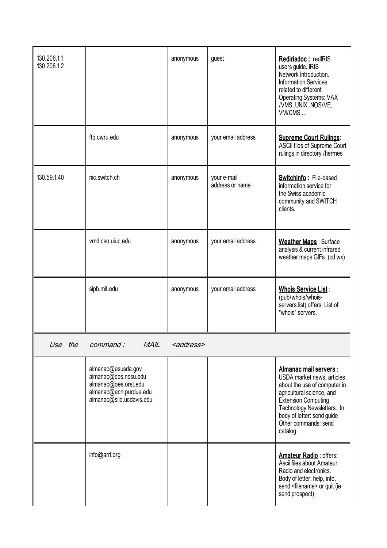| 130.206.1.1<br>130.206.1.2 |                                                                                                                          | anonymous           | guest                          | Redirisdoc: redIRIS<br>users guide. IRIS<br>Network Introduction.<br><b>Information Services</b><br>related to different<br><b>Operating Systems: VAX</b><br>/VMS, UNIX, NOS/VE,<br>VM/CMS                                                     |
|----------------------------|--------------------------------------------------------------------------------------------------------------------------|---------------------|--------------------------------|------------------------------------------------------------------------------------------------------------------------------------------------------------------------------------------------------------------------------------------------|
|                            | ftp.cwru.edu                                                                                                             | anonymous           | your email address             | <b>Supreme Court Rulings:</b><br>ASCII files of Supreme Court<br>rulings in directory /hermes                                                                                                                                                  |
| 130.59.1.40                | nic.switch.ch                                                                                                            | anonymous           | your e-mail<br>address or name | <b>Switchinfo: File-based</b><br>information service for<br>the Swiss academic<br>community and SWITCH<br>clients.                                                                                                                             |
|                            | vmd.cso.uiuc.edu                                                                                                         | anonymous           | your email address             | <b>Weather Maps: Surface</b><br>analysis & current infrared<br>weather maps GIFs. (cd wx)                                                                                                                                                      |
|                            | sipb.mit.edu                                                                                                             | anonymous           | your email address             | <b>Whois Service List:</b><br>(pub/whois/whois-<br>servers.list) offers: List of<br>"whois" servers.                                                                                                                                           |
| Use the                    | command:<br><b>MAIL</b>                                                                                                  | <address></address> |                                |                                                                                                                                                                                                                                                |
|                            | almanac@esusda.gov<br>almanac@ces.ncsu.edu<br>almanac@oes.orst.edu<br>almanac@ecn.purdue.edu<br>almanac@silo.ucdavis.edu |                     |                                | Almanac mail servers :<br>USDA market news, articles<br>about the use of computer in<br>agricultural science, and<br><b>Extension Computing</b><br>Technology Newsletters. In<br>body of letter: send guide<br>Other commands: send<br>catalog |
|                            | info@arrl.org                                                                                                            |                     |                                | Amateur Radio: offers:<br>Ascii files about Amateur<br>Radio and electronics.<br>Body of letter: help, info,<br>send <filename> or quit (ie<br/>send prospect)</filename>                                                                      |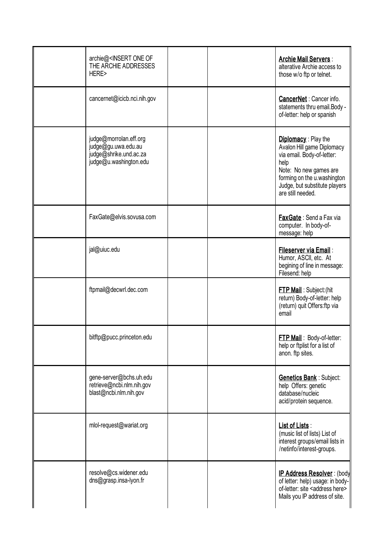| archie@ <insert of<br="" one="">THE ARCHIE ADDRESSES<br/>HERE&gt;</insert>                        |  | <b>Archie Mail Servers:</b><br>alterative Archie access to<br>those w/o ftp or telnet.                                                                                                                        |
|---------------------------------------------------------------------------------------------------|--|---------------------------------------------------------------------------------------------------------------------------------------------------------------------------------------------------------------|
| cancernet@icicb.nci.nih.gov                                                                       |  | <b>CancerNet:</b> Cancer info.<br>statements thru email. Body -<br>of-letter: help or spanish                                                                                                                 |
| judge@morrolan.eff.org<br>judge@gu.uwa.edu.au<br>judge@shrike.und.ac.za<br>judge@u.washington.edu |  | <b>Diplomacy:</b> Play the<br>Avalon Hill game Diplomacy<br>via email. Body-of-letter:<br>help<br>Note: No new games are<br>forming on the u.washington<br>Judge, but substitute players<br>are still needed. |
| FaxGate@elvis.sovusa.com                                                                          |  | FaxGate: Send a Fax via<br>computer. In body-of-<br>message: help                                                                                                                                             |
| jal@uiuc.edu                                                                                      |  | Fileserver via Email:<br>Humor, ASCII, etc. At<br>begining of line in message:<br>Filesend: help                                                                                                              |
| ftpmail@decwrl.dec.com                                                                            |  | <b>FTP Mail: Subject: (hit</b><br>return) Body-of-letter: help<br>(return) quit Offers: ftp via<br>email                                                                                                      |
| bitftp@pucc.princeton.edu                                                                         |  | <b>FTP Mail</b> : Body-of-letter:<br>help or ftplist for a list of<br>anon. ftp sites.                                                                                                                        |
| gene-server@bchs.uh.edu<br>retrieve@ncbi.nlm.nih.gov<br>blast@ncbi.nlm.nih.gov                    |  | <b>Genetics Bank: Subject:</b><br>help Offers: genetic<br>database/nucleic<br>acid/protein sequence.                                                                                                          |
| mlol-request@wariat.org                                                                           |  | List of Lists:<br>(music list of lists) List of<br>interest groups/email lists in<br>/netinfo/interest-groups.                                                                                                |
| resolve@cs.widener.edu<br>dns@grasp.insa-lyon.fr                                                  |  | IP Address Resolver: (body<br>of letter: help) usage: in body-<br>of-letter: site <address here=""><br/>Mails you IP address of site.</address>                                                               |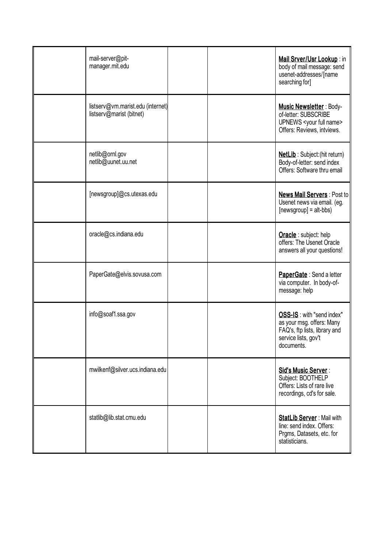| mail-server@pit-<br>manager.mit.edu                           |  | Mail Srver/Usr Lookup: in<br>body of mail message: send<br>usenet-addresses/[name<br>searching for]                           |
|---------------------------------------------------------------|--|-------------------------------------------------------------------------------------------------------------------------------|
| listserv@vm.marist.edu (internet)<br>listserv@marist (bitnet) |  | <b>Music Newsletter: Body-</b><br>of-letter: SUBSCRIBE<br>UPNEWS <your full="" name=""><br/>Offers: Reviews, intviews.</your> |
| netlib@ornl.gov<br>netlib@uunet.uu.net                        |  | <b>NetLib</b> : Subject: (hit return)<br>Body-of-letter: send index<br>Offers: Software thru email                            |
| [newsgroup]@cs.utexas.edu                                     |  | <b>News Mail Servers: Post to</b><br>Usenet news via email. (eg.<br>$[newsgroup] = alt-bbs)$                                  |
| oracle@cs.indiana.edu                                         |  | Oracle : subject: help<br>offers: The Usenet Oracle<br>answers all your questions!                                            |
| PaperGate@elvis.sovusa.com                                    |  | PaperGate: Send a letter<br>via computer. In body-of-<br>message: help                                                        |
| info@soaf1.ssa.gov                                            |  | OSS-IS: with "send index"<br>as your msg. offers: Many<br>FAQ's, ftp lists, library and<br>service lists, gov't<br>documents. |
| mwilkenf@silver.ucs.indiana.edu                               |  | Sid's Music Server:<br>Subject: BOOTHELP<br>Offers: Lists of rare live<br>recordings, cd's for sale.                          |
| statlib@lib.stat.cmu.edu                                      |  | <b>StatLib Server: Mail with</b><br>line: send index. Offers:<br>Prgms, Datasets, etc. for<br>statisticians.                  |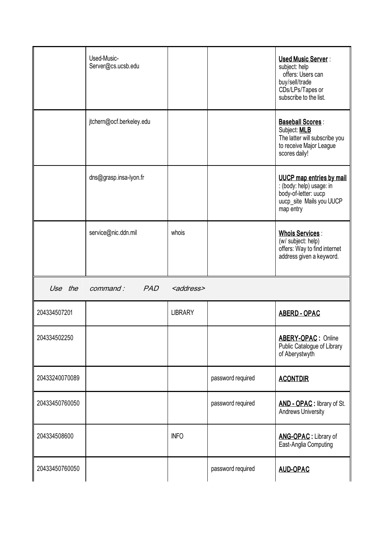|                | Used-Music-<br>Server@cs.ucsb.edu |                     |                   | <b>Used Music Server:</b><br>subject: help<br>offers: Users can<br>buy/sell/trade<br>CDs/LPs/Tapes or<br>subscribe to the list. |
|----------------|-----------------------------------|---------------------|-------------------|---------------------------------------------------------------------------------------------------------------------------------|
|                | jtchern@ocf.berkeley.edu          |                     |                   | <b>Baseball Scores:</b><br>Subject: <b>MLB</b><br>The latter will subscribe you<br>to receive Major League<br>scores daily!     |
|                | dns@grasp.insa-lyon.fr            |                     |                   | <b>UUCP</b> map entries by mail<br>: (body: help) usage: in<br>body-of-letter: uucp<br>uucp site Mails you UUCP<br>map entry    |
|                | service@nic.ddn.mil               | whois               |                   | <b>Whois Services:</b><br>(w/ subject: help)<br>offers: Way to find internet<br>address given a keyword.                        |
| Use the        | <i>command :</i><br><b>PAD</b>    | <address></address> |                   |                                                                                                                                 |
| 204334507201   |                                   | <b>LIBRARY</b>      |                   | <b>ABERD - OPAC</b>                                                                                                             |
| 204334502250   |                                   |                     |                   | <b>ABERY-OPAC: Online</b><br>Public Catalogue of Library<br>of Aberystwyth                                                      |
| 20433240070089 |                                   |                     | password required | <b>ACONTDIR</b>                                                                                                                 |
| 20433450760050 |                                   |                     | password required | AND - OPAC : library of St.<br>Andrews University                                                                               |
| 204334508600   |                                   | <b>INFO</b>         |                   | <b>ANG-OPAC:</b> Library of<br>East-Anglia Computing                                                                            |
| 20433450760050 |                                   |                     | password required | <b>AUD-OPAC</b>                                                                                                                 |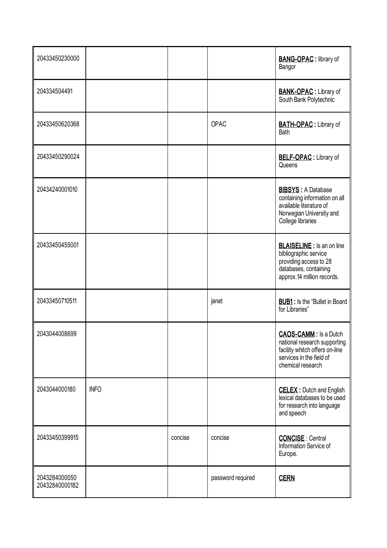| 20433450230000                  |             |         |                   | <b>BANG-OPAC: library of</b><br>Bangor                                                                                                          |
|---------------------------------|-------------|---------|-------------------|-------------------------------------------------------------------------------------------------------------------------------------------------|
| 204334504491                    |             |         |                   | <b>BANK-OPAC:</b> Library of<br>South Bank Polytechnic                                                                                          |
| 20433450620368                  |             |         | OPAC              | <b>BATH-OPAC:</b> Library of<br>Bath                                                                                                            |
| 20433450290024                  |             |         |                   | <b>BELF-OPAC:</b> Library of<br>Queens                                                                                                          |
| 20434240001010                  |             |         |                   | <b>BIBSYS: A Database</b><br>containing information on all<br>available literature of<br>Norwegian University and<br>College libraries          |
| 20433450455001                  |             |         |                   | <b>BLAISELINE</b> : Is an on line<br>bibliographic service<br>providing access to 28<br>databases, containing<br>approx.14 million records.     |
| 20433450710511                  |             |         | janet             | <b>BUB1</b> : Is the "Bullet in Board<br>for Libraries"                                                                                         |
| 2043044008699                   |             |         |                   | <b>CAOS-CAMM:</b> Is a Dutch<br>national research supporting<br>facility whitch offers on-line<br>services in the field of<br>chemical research |
| 2043044000180                   | <b>INFO</b> |         |                   | <b>CELEX:</b> Dutch and English<br>lexical databases to be used<br>for research into language<br>and speech                                     |
| 20433450399915                  |             | concise | concise           | <b>CONCISE</b> : Central<br>Information Service of<br>Europe.                                                                                   |
| 2043284000050<br>20432840000182 |             |         | password required | <b>CERN</b>                                                                                                                                     |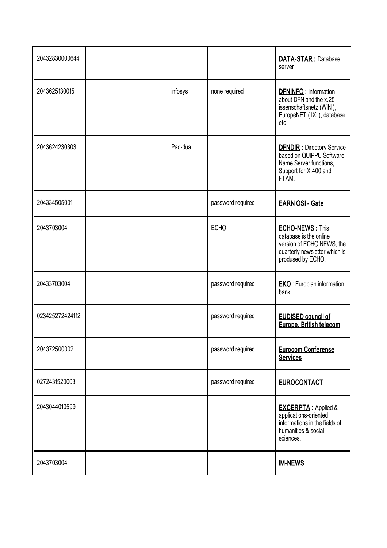| 20432830000644  |         |                   | <b>DATA-STAR: Database</b><br>server                                                                                                |
|-----------------|---------|-------------------|-------------------------------------------------------------------------------------------------------------------------------------|
| 2043625130015   | infosys | none required     | <b>DFNINFO: Information</b><br>about DFN and the x.25<br>issenschaftsnetz (WIN),<br>EuropeNET (IXI), database,<br>etc.              |
| 2043624230303   | Pad-dua |                   | <b>DFNDIR:</b> Directory Service<br>based on QUIPPU Software<br>Name Server functions,<br>Support for X.400 and<br>FTAM.            |
| 204334505001    |         | password required | <b>EARN OSI - Gate</b>                                                                                                              |
| 2043703004      |         | <b>ECHO</b>       | <b>ECHO-NEWS: This</b><br>database is the online<br>version of ECHO NEWS, the<br>quarterly newsletter which is<br>prodused by ECHO. |
| 20433703004     |         | password required | <b>EKO:</b> Europian information<br>bank.                                                                                           |
| 023425272424112 |         | password required | <b>EUDISED council of</b><br>Europe, British telecom                                                                                |
| 204372500002    |         | password required | <b>Eurocom Conferense</b><br><b>Services</b>                                                                                        |
| 0272431520003   |         | password required | <b>EUROCONTACT</b>                                                                                                                  |
| 2043044010599   |         |                   | <b>EXCERPTA: Applied &amp;</b><br>applications-oriented<br>informations in the fields of<br>humanities & social<br>sciences.        |
| 2043703004      |         |                   | <b>IM-NEWS</b>                                                                                                                      |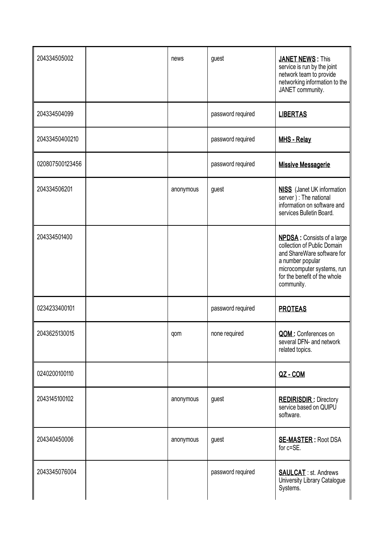| 204334505002    | news      | guest             | <b>JANET NEWS: This</b><br>service is run by the joint<br>network team to provide<br>networking information to the<br>JANET community.                                                         |
|-----------------|-----------|-------------------|------------------------------------------------------------------------------------------------------------------------------------------------------------------------------------------------|
| 204334504099    |           | password required | <b>LIBERTAS</b>                                                                                                                                                                                |
| 20433450400210  |           | password required | <b>MHS - Relay</b>                                                                                                                                                                             |
| 020807500123456 |           | password required | <b>Missive Messagerie</b>                                                                                                                                                                      |
| 204334506201    | anonymous | guest             | <b>NISS</b> (Janet UK information<br>server) : The national<br>information on software and<br>services Bulletin Board.                                                                         |
| 204334501400    |           |                   | <b>NPDSA:</b> Consists of a large<br>collection of Public Domain<br>and ShareWare software for<br>a number popular<br>microcomputer systems, run<br>for the benefit of the whole<br>community. |
| 0234233400101   |           | password required | <b>PROTEAS</b>                                                                                                                                                                                 |
| 2043625130015   | qom       | none required     | QOM: Conferences on<br>several DFN- and network<br>related topics.                                                                                                                             |
| 0240200100110   |           |                   | QZ-COM                                                                                                                                                                                         |
| 2043145100102   | anonymous | guest             | <b>REDIRISDIR: Directory</b><br>service based on QUIPU<br>software.                                                                                                                            |
| 204340450006    | anonymous | guest             | <b>SE-MASTER: Root DSA</b><br>for c=SE.                                                                                                                                                        |
| 2043345076004   |           | password required | <b>SAULCAT</b> : st. Andrews<br>University Library Catalogue<br>Systems.                                                                                                                       |